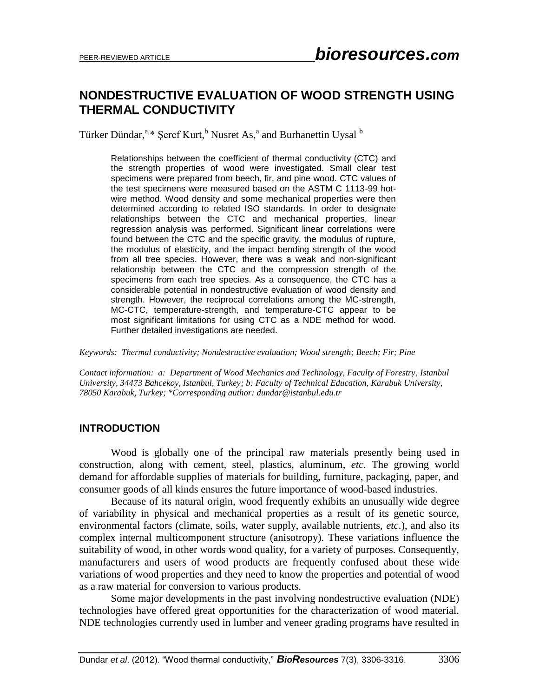# **NONDESTRUCTIVE EVALUATION OF WOOD STRENGTH USING THERMAL CONDUCTIVITY**

Türker Dündar,<sup>a,</sup>\* Şeref Kurt,<sup>b</sup> Nusret As,<sup>a</sup> and Burhanettin Uysal <sup>b</sup>

Relationships between the coefficient of thermal conductivity (CTC) and the strength properties of wood were investigated. Small clear test specimens were prepared from beech, fir, and pine wood. CTC values of the test specimens were measured based on the ASTM C 1113-99 hotwire method. Wood density and some mechanical properties were then determined according to related ISO standards. In order to designate relationships between the CTC and mechanical properties, linear regression analysis was performed. Significant linear correlations were found between the CTC and the specific gravity, the modulus of rupture, the modulus of elasticity, and the impact bending strength of the wood from all tree species. However, there was a weak and non-significant relationship between the CTC and the compression strength of the specimens from each tree species. As a consequence, the CTC has a considerable potential in nondestructive evaluation of wood density and strength. However, the reciprocal correlations among the MC-strength, MC-CTC, temperature-strength, and temperature-CTC appear to be most significant limitations for using CTC as a NDE method for wood. Further detailed investigations are needed.

*Keywords: Thermal conductivity; Nondestructive evaluation; Wood strength; Beech; Fir; Pine*

*Contact information: a: Department of Wood Mechanics and Technology, Faculty of Forestry, Istanbul University, 34473 Bahcekoy, Istanbul, Turkey; b: Faculty of Technical Education, Karabuk University, 78050 Karabuk, Turkey; \*Corresponding author[: dundar@istanbul.edu.tr](mailto:dundar@istanbul.edu.tr)*

#### **INTRODUCTION**

Wood is globally one of the principal raw materials presently being used in construction, along with cement, steel, plastics, aluminum, *etc*. The growing world demand for affordable supplies of materials for building, furniture, packaging, paper, and consumer goods of all kinds ensures the future importance of wood-based industries.

Because of its natural origin, wood frequently exhibits an unusually wide degree of variability in physical and mechanical properties as a result of its genetic source, environmental factors (climate, soils, water supply, available nutrients, *etc*.), and also its complex internal multicomponent structure (anisotropy). These variations influence the suitability of wood, in other words wood quality, for a variety of purposes. Consequently, manufacturers and users of wood products are frequently confused about these wide variations of wood properties and they need to know the properties and potential of wood as a raw material for conversion to various products.

Some major developments in the past involving nondestructive evaluation (NDE) technologies have offered great opportunities for the characterization of wood material. NDE technologies currently used in lumber and veneer grading programs have resulted in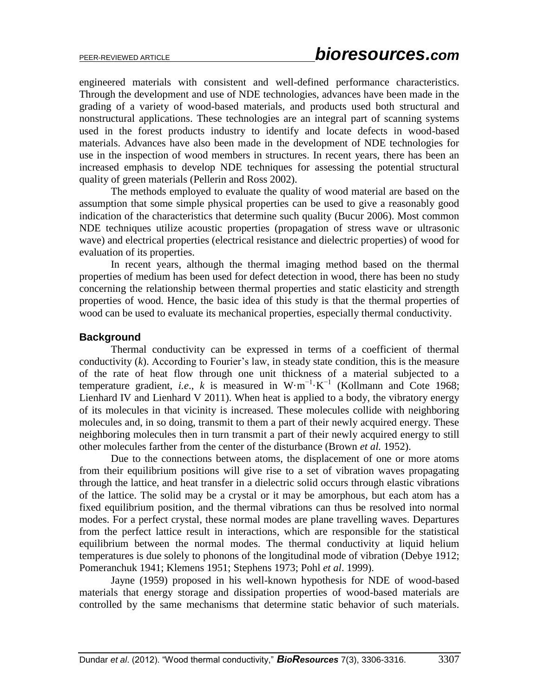engineered materials with consistent and well-defined performance characteristics. Through the development and use of NDE technologies, advances have been made in the grading of a variety of wood-based materials, and products used both structural and nonstructural applications. These technologies are an integral part of scanning systems used in the forest products industry to identify and locate defects in wood-based materials. Advances have also been made in the development of NDE technologies for use in the inspection of wood members in structures. In recent years, there has been an increased emphasis to develop NDE techniques for assessing the potential structural quality of green materials (Pellerin and Ross 2002).

The methods employed to evaluate the quality of wood material are based on the assumption that some simple physical properties can be used to give a reasonably good indication of the characteristics that determine such quality (Bucur 2006). Most common NDE techniques utilize acoustic properties (propagation of stress wave or ultrasonic wave) and electrical properties (electrical resistance and dielectric properties) of wood for evaluation of its properties.

In recent years, although the thermal imaging method based on the thermal properties of medium has been used for defect detection in wood, there has been no study concerning the relationship between thermal properties and static elasticity and strength properties of wood. Hence, the basic idea of this study is that the thermal properties of wood can be used to evaluate its mechanical properties, especially thermal conductivity.

#### **Background**

Thermal conductivity can be expressed in terms of a coefficient of thermal conductivity (*k*). According to Fourier's law, in steady state condition, this is the measure of the rate of heat flow through one unit thickness of a material subjected to a temperature gradient, *i.e.*, *k* is measured in  $W \cdot m^{-1} \cdot K^{-1}$  (Kollmann and Cote 1968; Lienhard IV and Lienhard V 2011). When heat is applied to a body, the vibratory energy of its molecules in that vicinity is increased. These molecules collide with neighboring molecules and, in so doing, transmit to them a part of their newly acquired energy. These neighboring molecules then in turn transmit a part of their newly acquired energy to still other molecules farther from the center of the disturbance (Brown *et al.* 1952).

Due to the connections between atoms, the displacement of one or more atoms from their equilibrium positions will give rise to a set of vibration waves propagating through the lattice, and heat transfer in a dielectric solid occurs through elastic vibrations of the lattice. The solid may be a crystal or it may be amorphous, but each atom has a fixed equilibrium position, and the thermal vibrations can thus be resolved into normal modes. For a perfect crystal, these normal modes are plane travelling waves. Departures from the perfect lattice result in interactions, which are responsible for the statistical equilibrium between the normal modes. The thermal conductivity at liquid helium temperatures is due solely to phonons of the longitudinal mode of vibration (Debye 1912; Pomeranchuk 1941; Klemens 1951; Stephens 1973; Pohl *et al*. 1999).

Jayne (1959) proposed in his well-known hypothesis for NDE of wood-based materials that energy storage and dissipation properties of wood-based materials are controlled by the same mechanisms that determine static behavior of such materials.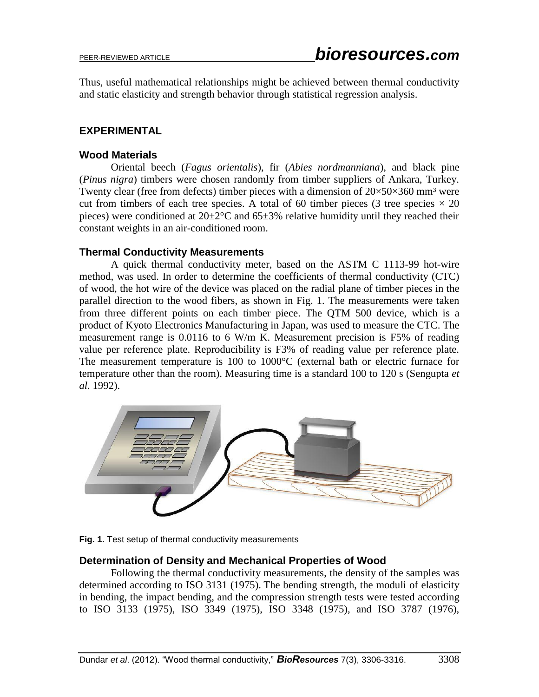Thus, useful mathematical relationships might be achieved between thermal conductivity and static elasticity and strength behavior through statistical regression analysis.

## **EXPERIMENTAL**

#### **Wood Materials**

Oriental beech (*Fagus orientalis*), fir (*Abies nordmanniana*), and black pine (*Pinus nigra*) timbers were chosen randomly from timber suppliers of Ankara, Turkey. Twenty clear (free from defects) timber pieces with a dimension of  $20 \times 50 \times 360$  mm<sup>3</sup> were cut from timbers of each tree species. A total of 60 timber pieces (3 tree species  $\times$  20 pieces) were conditioned at  $20\pm2\degree C$  and  $65\pm3\%$  relative humidity until they reached their constant weights in an air-conditioned room.

### **Thermal Conductivity Measurements**

A quick thermal conductivity meter, based on the ASTM C 1113-99 hot-wire method, was used. In order to determine the coefficients of thermal conductivity (CTC) of wood, the hot wire of the device was placed on the radial plane of timber pieces in the parallel direction to the wood fibers, as shown in Fig. 1. The measurements were taken from three different points on each timber piece. The QTM 500 device, which is a product of Kyoto Electronics Manufacturing in Japan, was used to measure the CTC. The measurement range is 0.0116 to 6 W/m K. Measurement precision is F5% of reading value per reference plate. Reproducibility is F3% of reading value per reference plate. The measurement temperature is 100 to 1000°C (external bath or electric furnace for temperature other than the room). Measuring time is a standard 100 to 120 s (Sengupta *et al*. 1992).



**Fig. 1.** Test setup of thermal conductivity measurements

#### **Determination of Density and Mechanical Properties of Wood**

Following the thermal conductivity measurements, the density of the samples was determined according to ISO 3131 (1975). The bending strength, the moduli of elasticity in bending, the impact bending, and the compression strength tests were tested according to ISO 3133 (1975), ISO 3349 (1975), ISO 3348 (1975), and ISO 3787 (1976),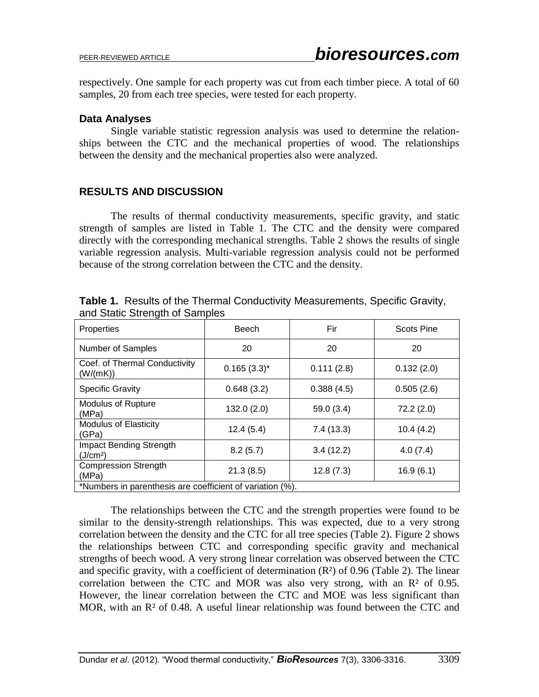respectively. One sample for each property was cut from each timber piece. A total of 60 samples, 20 from each tree species, were tested for each property.

#### **Data Analyses**

Single variable statistic regression analysis was used to determine the relationships between the CTC and the mechanical properties of wood. The relationships between the density and the mechanical properties also were analyzed.

### **RESULTS AND DISCUSSION**

The results of thermal conductivity measurements, specific gravity, and static strength of samples are listed in Table 1. The CTC and the density were compared directly with the corresponding mechanical strengths. Table 2 shows the results of single variable regression analysis. Multi-variable regression analysis could not be performed because of the strong correlation between the CTC and the density.

| Properties                                                | <b>Beech</b>     | Fir        | <b>Scots Pine</b> |  |  |  |  |
|-----------------------------------------------------------|------------------|------------|-------------------|--|--|--|--|
| <b>Number of Samples</b>                                  | 20               | 20         | 20                |  |  |  |  |
| Coef. of Thermal Conductivity<br>(W/(mK))                 | $0.165(3.3)^{*}$ | 0.111(2.8) | 0.132(2.0)        |  |  |  |  |
| <b>Specific Gravity</b>                                   | 0.648(3.2)       | 0.388(4.5) | 0.505(2.6)        |  |  |  |  |
| <b>Modulus of Rupture</b><br>(MPa)                        | 132.0(2.0)       | 59.0 (3.4) | 72.2(2.0)         |  |  |  |  |
| <b>Modulus of Elasticity</b><br>(GPa)                     | 12.4(5.4)        | 7.4(13.3)  | 10.4(4.2)         |  |  |  |  |
| <b>Impact Bending Strength</b><br>(J/cm <sup>2</sup> )    | 8.2(5.7)         | 3.4(12.2)  | 4.0(7.4)          |  |  |  |  |
| <b>Compression Strength</b><br>(MPa)                      | 21.3(8.5)        | 12.8(7.3)  | 16.9(6.1)         |  |  |  |  |
| *Numbers in parenthesis are coefficient of variation (%). |                  |            |                   |  |  |  |  |

**Table 1.** Results of the Thermal Conductivity Measurements, Specific Gravity, and Static Strength of Samples

The relationships between the CTC and the strength properties were found to be similar to the density-strength relationships. This was expected, due to a very strong correlation between the density and the CTC for all tree species (Table 2). Figure 2 shows the relationships between CTC and corresponding specific gravity and mechanical strengths of beech wood. A very strong linear correlation was observed between the CTC and specific gravity, with a coefficient of determination  $(R<sup>2</sup>)$  of 0.96 (Table 2). The linear correlation between the CTC and MOR was also very strong, with an  $\mathbb{R}^2$  of 0.95. However, the linear correlation between the CTC and MOE was less significant than MOR, with an R<sup>2</sup> of 0.48. A useful linear relationship was found between the CTC and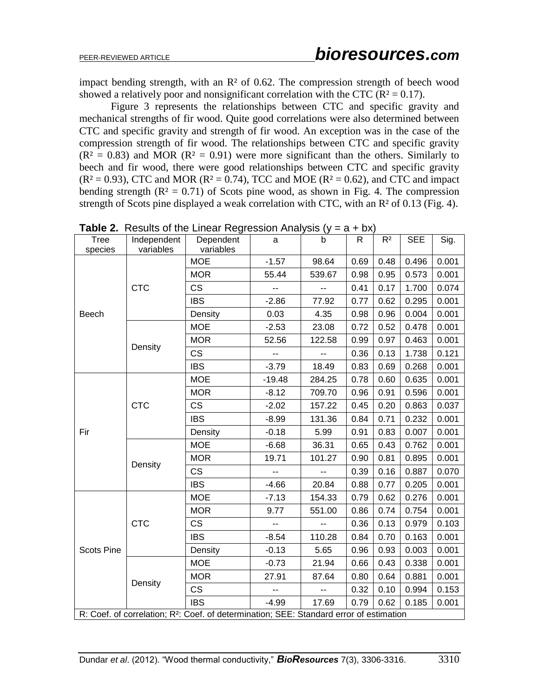impact bending strength, with an  $\mathbb{R}^2$  of 0.62. The compression strength of beech wood showed a relatively poor and nonsignificant correlation with the CTC ( $R^2 = 0.17$ ).

Figure 3 represents the relationships between CTC and specific gravity and mechanical strengths of fir wood. Quite good correlations were also determined between CTC and specific gravity and strength of fir wood. An exception was in the case of the compression strength of fir wood. The relationships between CTC and specific gravity  $(R<sup>2</sup> = 0.83)$  and MOR  $(R<sup>2</sup> = 0.91)$  were more significant than the others. Similarly to beech and fir wood, there were good relationships between CTC and specific gravity  $(R<sup>2</sup> = 0.93)$ , CTC and MOR  $(R<sup>2</sup> = 0.74)$ , TCC and MOE  $(R<sup>2</sup> = 0.62)$ , and CTC and impact bending strength  $(R^2 = 0.71)$  of Scots pine wood, as shown in Fig. 4. The compression strength of Scots pine displayed a weak correlation with CTC, with an  $R<sup>2</sup>$  of 0.13 (Fig. 4).

| Tree                                                                                                | Independent | Dependent  | a                        | b         | R    | R <sup>2</sup> | <b>SEE</b> | Sig.  |  |
|-----------------------------------------------------------------------------------------------------|-------------|------------|--------------------------|-----------|------|----------------|------------|-------|--|
| species                                                                                             | variables   | variables  |                          |           |      |                |            |       |  |
| Beech                                                                                               | <b>CTC</b>  | <b>MOE</b> | $-1.57$                  | 98.64     | 0.69 | 0.48           | 0.496      | 0.001 |  |
|                                                                                                     |             | <b>MOR</b> | 55.44                    | 539.67    | 0.98 | 0.95           | 0.573      | 0.001 |  |
|                                                                                                     |             | <b>CS</b>  | $\overline{\phantom{a}}$ | --        | 0.41 | 0.17           | 1.700      | 0.074 |  |
|                                                                                                     |             | <b>IBS</b> | $-2.86$                  | 77.92     | 0.77 | 0.62           | 0.295      | 0.001 |  |
|                                                                                                     |             | Density    | 0.03                     | 4.35      | 0.98 | 0.96           | 0.004      | 0.001 |  |
|                                                                                                     | Density     | <b>MOE</b> | $-2.53$                  | 23.08     | 0.72 | 0.52           | 0.478      | 0.001 |  |
|                                                                                                     |             | <b>MOR</b> | 52.56                    | 122.58    | 0.99 | 0.97           | 0.463      | 0.001 |  |
|                                                                                                     |             | <b>CS</b>  |                          |           | 0.36 | 0.13           | 1.738      | 0.121 |  |
|                                                                                                     |             | <b>IBS</b> | $-3.79$                  | 18.49     | 0.83 | 0.69           | 0.268      | 0.001 |  |
| Fir                                                                                                 |             | <b>MOE</b> | $-19.48$                 | 284.25    | 0.78 | 0.60           | 0.635      | 0.001 |  |
|                                                                                                     | <b>CTC</b>  | <b>MOR</b> | $-8.12$                  | 709.70    | 0.96 | 0.91           | 0.596      | 0.001 |  |
|                                                                                                     |             | <b>CS</b>  | $-2.02$                  | 157.22    | 0.45 | 0.20           | 0.863      | 0.037 |  |
|                                                                                                     |             | <b>IBS</b> | $-8.99$                  | 131.36    | 0.84 | 0.71           | 0.232      | 0.001 |  |
|                                                                                                     |             | Density    | $-0.18$                  | 5.99      | 0.91 | 0.83           | 0.007      | 0.001 |  |
|                                                                                                     | Density     | <b>MOE</b> | $-6.68$                  | 36.31     | 0.65 | 0.43           | 0.762      | 0.001 |  |
|                                                                                                     |             | <b>MOR</b> | 19.71                    | 101.27    | 0.90 | 0.81           | 0.895      | 0.001 |  |
|                                                                                                     |             | <b>CS</b>  | 44                       | Ξ.        | 0.39 | 0.16           | 0.887      | 0.070 |  |
|                                                                                                     |             | <b>IBS</b> | $-4.66$                  | 20.84     | 0.88 | 0.77           | 0.205      | 0.001 |  |
| <b>Scots Pine</b>                                                                                   | <b>CTC</b>  | <b>MOE</b> | $-7.13$                  | 154.33    | 0.79 | 0.62           | 0.276      | 0.001 |  |
|                                                                                                     |             | <b>MOR</b> | 9.77                     | 551.00    | 0.86 | 0.74           | 0.754      | 0.001 |  |
|                                                                                                     |             | <b>CS</b>  | $\overline{\phantom{a}}$ | $\ddotsc$ | 0.36 | 0.13           | 0.979      | 0.103 |  |
|                                                                                                     |             | <b>IBS</b> | $-8.54$                  | 110.28    | 0.84 | 0.70           | 0.163      | 0.001 |  |
|                                                                                                     |             | Density    | $-0.13$                  | 5.65      | 0.96 | 0.93           | 0.003      | 0.001 |  |
|                                                                                                     | Density     | <b>MOE</b> | $-0.73$                  | 21.94     | 0.66 | 0.43           | 0.338      | 0.001 |  |
|                                                                                                     |             | <b>MOR</b> | 27.91                    | 87.64     | 0.80 | 0.64           | 0.881      | 0.001 |  |
|                                                                                                     |             | <b>CS</b>  | --                       | --        | 0.32 | 0.10           | 0.994      | 0.153 |  |
|                                                                                                     |             | <b>IBS</b> | $-4.99$                  | 17.69     | 0.79 | 0.62           | 0.185      | 0.001 |  |
| R: Coef. of correlation; R <sup>2</sup> : Coef. of determination; SEE: Standard error of estimation |             |            |                          |           |      |                |            |       |  |

**Table 2.** Results of the Linear Regression Analysis ( $y = a + bx$ )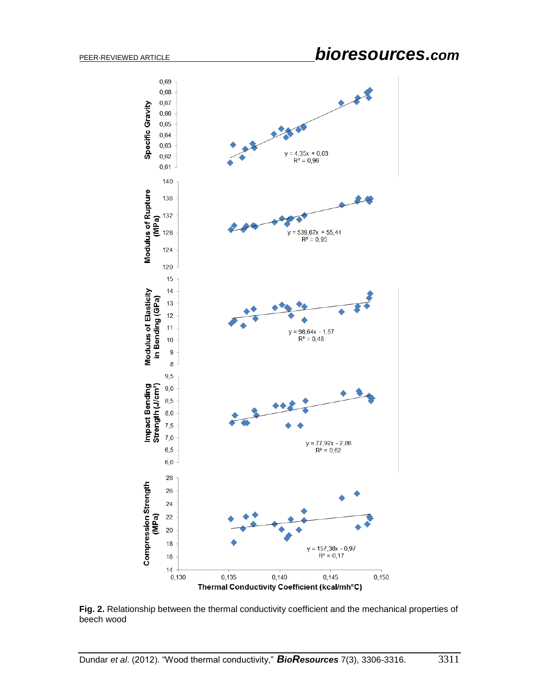# PEER-REVIEWED ARTICLE *bioresources.com*



**Fig. 2.** Relationship between the thermal conductivity coefficient and the mechanical properties of beech wood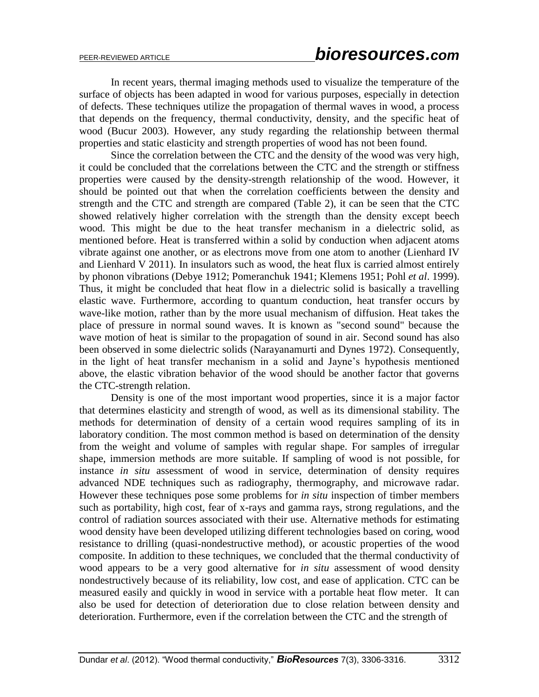In recent years, thermal imaging methods used to visualize the temperature of the surface of objects has been adapted in wood for various purposes, especially in detection of defects. These techniques utilize the propagation of thermal waves in wood, a process that depends on the frequency, thermal conductivity, density, and the specific heat of wood (Bucur 2003). However, any study regarding the relationship between thermal properties and static elasticity and strength properties of wood has not been found.

Since the correlation between the CTC and the density of the wood was very high, it could be concluded that the correlations between the CTC and the strength or stiffness properties were caused by the density-strength relationship of the wood. However, it should be pointed out that when the correlation coefficients between the density and strength and the CTC and strength are compared (Table 2), it can be seen that the CTC showed relatively higher correlation with the strength than the density except beech wood. This might be due to the heat transfer mechanism in a dielectric solid, as mentioned before. Heat is transferred within a solid by conduction when adjacent atoms vibrate against one another, or as electrons move from one atom to another (Lienhard IV and Lienhard V 2011). In insulators such as wood, the heat flux is carried almost entirely by phonon vibrations (Debye 1912; Pomeranchuk 1941; Klemens 1951; Pohl *et al*. 1999). Thus, it might be concluded that heat flow in a dielectric solid is basically a travelling elastic wave. Furthermore, according to quantum conduction, heat transfer occurs by wave-like motion, rather than by the more usual mechanism of diffusion. Heat takes the place of pressure in normal sound waves. It is known as "second sound" because the wave motion of heat is similar to the propagation of sound in air. Second sound has also been observed in some dielectric solids (Narayanamurti and Dynes 1972). Consequently, in the light of heat transfer mechanism in a solid and Jayne's hypothesis mentioned above, the elastic vibration behavior of the wood should be another factor that governs the CTC-strength relation.

Density is one of the most important wood properties, since it is a major factor that determines elasticity and strength of wood, as well as its dimensional stability. The methods for determination of density of a certain wood requires sampling of its in laboratory condition. The most common method is based on determination of the density from the weight and volume of samples with regular shape. For samples of irregular shape, immersion methods are more suitable. If sampling of wood is not possible, for instance *in situ* assessment of wood in service, determination of density requires advanced NDE techniques such as radiography, thermography, and microwave radar. However these techniques pose some problems for *in situ* inspection of timber members such as portability, high cost, fear of x-rays and gamma rays, strong regulations, and the control of radiation sources associated with their use. Alternative methods for estimating wood density have been developed utilizing different technologies based on coring, wood resistance to drilling (quasi-nondestructive method), or acoustic properties of the wood composite. In addition to these techniques, we concluded that the thermal conductivity of wood appears to be a very good alternative for *in situ* assessment of wood density nondestructively because of its reliability, low cost, and ease of application. CTC can be measured easily and quickly in wood in service with a portable heat flow meter. It can also be used for detection of deterioration due to close relation between density and deterioration. Furthermore, even if the correlation between the CTC and the strength of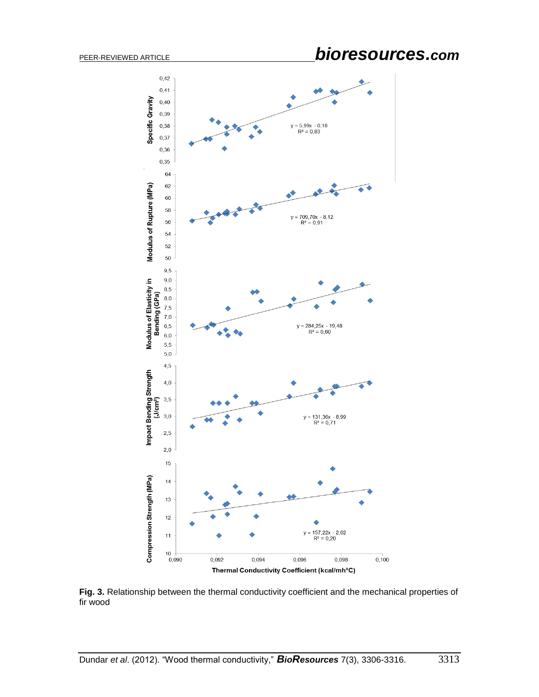# PEER-REVIEWED ARTICLE *bioresources.com*



**Fig. 3.** Relationship between the thermal conductivity coefficient and the mechanical properties of fir wood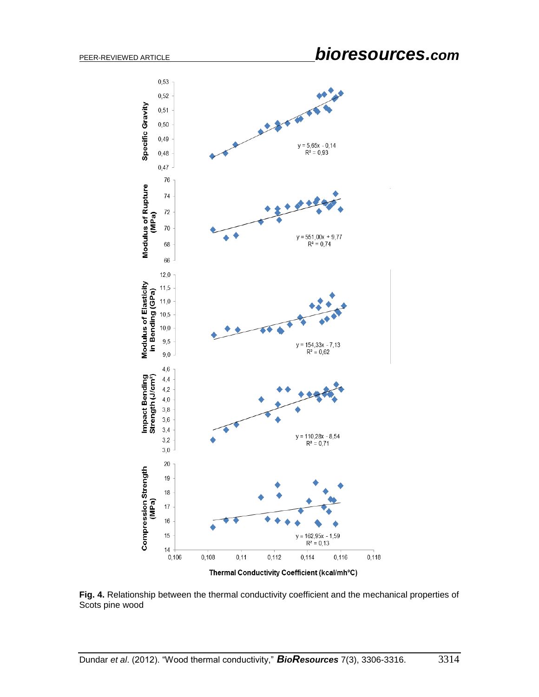# PEER-REVIEWED ARTICLE *bioresources.com*



Thermal Conductivity Coefficient (kcal/mh°C)

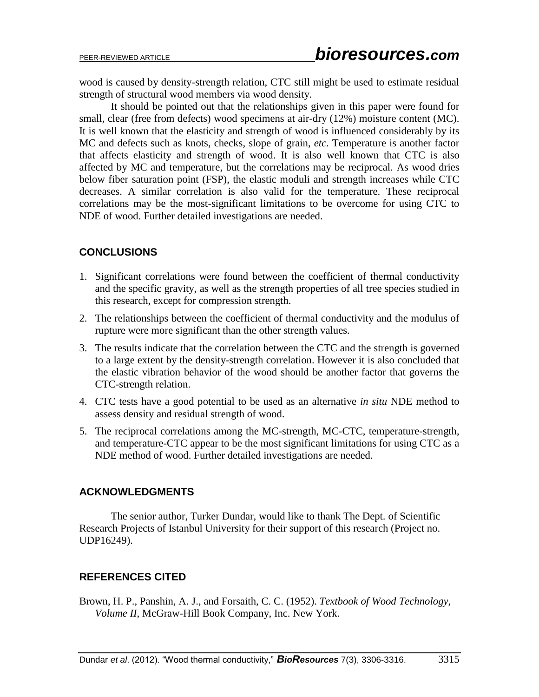wood is caused by density-strength relation, CTC still might be used to estimate residual strength of structural wood members via wood density.

It should be pointed out that the relationships given in this paper were found for small, clear (free from defects) wood specimens at air-dry (12%) moisture content (MC). It is well known that the elasticity and strength of wood is influenced considerably by its MC and defects such as knots, checks, slope of grain, *etc*. Temperature is another factor that affects elasticity and strength of wood. It is also well known that CTC is also affected by MC and temperature, but the correlations may be reciprocal. As wood dries below fiber saturation point (FSP), the elastic moduli and strength increases while CTC decreases. A similar correlation is also valid for the temperature. These reciprocal correlations may be the most-significant limitations to be overcome for using CTC to NDE of wood. Further detailed investigations are needed.

## **CONCLUSIONS**

- 1. Significant correlations were found between the coefficient of thermal conductivity and the specific gravity, as well as the strength properties of all tree species studied in this research, except for compression strength.
- 2. The relationships between the coefficient of thermal conductivity and the modulus of rupture were more significant than the other strength values.
- 3. The results indicate that the correlation between the CTC and the strength is governed to a large extent by the density-strength correlation. However it is also concluded that the elastic vibration behavior of the wood should be another factor that governs the CTC-strength relation.
- 4. CTC tests have a good potential to be used as an alternative *in situ* NDE method to assess density and residual strength of wood.
- 5. The reciprocal correlations among the MC-strength, MC-CTC, temperature-strength, and temperature-CTC appear to be the most significant limitations for using CTC as a NDE method of wood. Further detailed investigations are needed.

### **ACKNOWLEDGMENTS**

The senior author, Turker Dundar, would like to thank The Dept. of Scientific Research Projects of Istanbul University for their support of this research (Project no. UDP16249).

## **REFERENCES CITED**

Brown, H. P., Panshin, A. J., and Forsaith, C. C. (1952). *Textbook of Wood Technology, Volume II*, McGraw-Hill Book Company, Inc. New York.